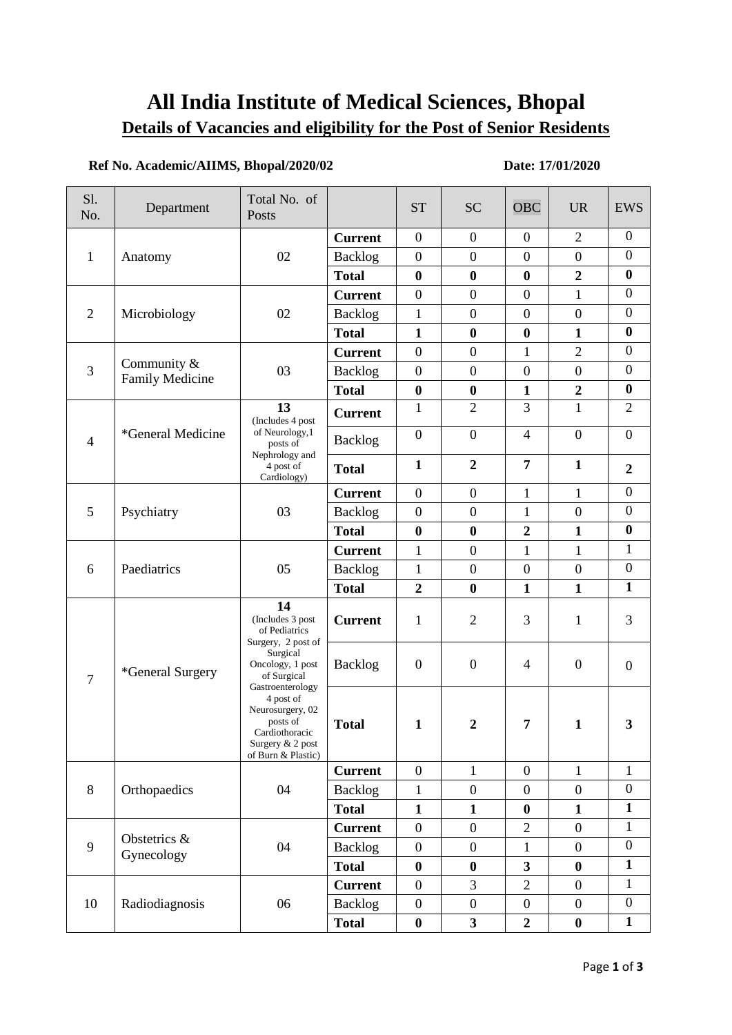# **All India Institute of Medical Sciences, Bhopal Details of Vacancies and eligibility for the Post of Senior Residents**

## **Ref No. Academic/AIIMS, Bhopal/2020/02 Date: 17/01/2020**

| S1.<br>No.     | Department                     | Total No. of<br>Posts                                                                                                                                                                                                                     |                | <b>ST</b>        | <b>SC</b>        | <b>OBC</b>              | <b>UR</b>        | <b>EWS</b>       |
|----------------|--------------------------------|-------------------------------------------------------------------------------------------------------------------------------------------------------------------------------------------------------------------------------------------|----------------|------------------|------------------|-------------------------|------------------|------------------|
| $\mathbf{1}$   | Anatomy                        | 02                                                                                                                                                                                                                                        | <b>Current</b> | $\boldsymbol{0}$ | $\boldsymbol{0}$ | $\mathbf{0}$            | $\overline{2}$   | $\boldsymbol{0}$ |
|                |                                |                                                                                                                                                                                                                                           | Backlog        | $\boldsymbol{0}$ | $\boldsymbol{0}$ | $\boldsymbol{0}$        | $\boldsymbol{0}$ | $\boldsymbol{0}$ |
|                |                                |                                                                                                                                                                                                                                           | <b>Total</b>   | $\boldsymbol{0}$ | $\bf{0}$         | $\bf{0}$                | $\boldsymbol{2}$ | $\boldsymbol{0}$ |
| $\overline{2}$ | Microbiology                   | 02                                                                                                                                                                                                                                        | <b>Current</b> | $\overline{0}$   | $\boldsymbol{0}$ | $\boldsymbol{0}$        | $\mathbf{1}$     | $\boldsymbol{0}$ |
|                |                                |                                                                                                                                                                                                                                           | Backlog        | $\mathbf{1}$     | $\boldsymbol{0}$ | $\boldsymbol{0}$        | $\boldsymbol{0}$ | $\boldsymbol{0}$ |
|                |                                |                                                                                                                                                                                                                                           | <b>Total</b>   | $\mathbf{1}$     | $\boldsymbol{0}$ | $\boldsymbol{0}$        | $\mathbf{1}$     | $\boldsymbol{0}$ |
| 3              | Community &<br>Family Medicine | 03                                                                                                                                                                                                                                        | <b>Current</b> | $\overline{0}$   | $\boldsymbol{0}$ | $\mathbf{1}$            | $\overline{2}$   | $\boldsymbol{0}$ |
|                |                                |                                                                                                                                                                                                                                           | <b>Backlog</b> | $\overline{0}$   | $\boldsymbol{0}$ | $\boldsymbol{0}$        | $\overline{0}$   | $\boldsymbol{0}$ |
|                |                                |                                                                                                                                                                                                                                           | <b>Total</b>   | $\bf{0}$         | $\boldsymbol{0}$ | $\mathbf{1}$            | $\boldsymbol{2}$ | $\bf{0}$         |
| $\overline{4}$ | *General Medicine              | 13<br>(Includes 4 post<br>of Neurology, 1<br>posts of<br>Nephrology and<br>4 post of<br>Cardiology)                                                                                                                                       | <b>Current</b> | 1                | $\overline{2}$   | 3                       | $\mathbf{1}$     | $\overline{2}$   |
|                |                                |                                                                                                                                                                                                                                           | <b>Backlog</b> | $\boldsymbol{0}$ | $\boldsymbol{0}$ | $\overline{4}$          | $\overline{0}$   | $\boldsymbol{0}$ |
|                |                                |                                                                                                                                                                                                                                           | <b>Total</b>   | $\mathbf{1}$     | $\overline{2}$   | $\overline{7}$          | $\mathbf{1}$     | $\boldsymbol{2}$ |
|                | Psychiatry                     | 03                                                                                                                                                                                                                                        | <b>Current</b> | $\boldsymbol{0}$ | $\boldsymbol{0}$ | $\mathbf{1}$            | $\mathbf{1}$     | $\boldsymbol{0}$ |
| 5              |                                |                                                                                                                                                                                                                                           | <b>Backlog</b> | $\overline{0}$   | $\boldsymbol{0}$ | $\mathbf{1}$            | $\theta$         | $\boldsymbol{0}$ |
|                |                                |                                                                                                                                                                                                                                           | <b>Total</b>   | $\bf{0}$         | $\boldsymbol{0}$ | $\boldsymbol{2}$        | $\mathbf{1}$     | $\bf{0}$         |
| 6              | Paediatrics                    | 05                                                                                                                                                                                                                                        | <b>Current</b> | $\mathbf{1}$     | $\boldsymbol{0}$ | $\mathbf{1}$            | $\mathbf{1}$     | $\mathbf{1}$     |
|                |                                |                                                                                                                                                                                                                                           | Backlog        | $\mathbf{1}$     | $\boldsymbol{0}$ | $\boldsymbol{0}$        | $\boldsymbol{0}$ | $\boldsymbol{0}$ |
|                |                                |                                                                                                                                                                                                                                           | <b>Total</b>   | $\overline{2}$   | $\bf{0}$         | $\mathbf{1}$            | $\mathbf{1}$     | $\mathbf{1}$     |
| $\overline{7}$ | *General Surgery               | 14<br>(Includes 3 post<br>of Pediatrics<br>Surgery, 2 post of<br>Surgical<br>Oncology, 1 post<br>of Surgical<br>Gastroenterology<br>4 post of<br>Neurosurgery, 02<br>posts of<br>Cardiothoracic<br>Surgery & 2 post<br>of Burn & Plastic) | <b>Current</b> | $\mathbf{1}$     | $\overline{2}$   | 3                       | $\mathbf{1}$     | 3                |
|                |                                |                                                                                                                                                                                                                                           | Backlog        | $\boldsymbol{0}$ | $\boldsymbol{0}$ | 4                       | $\boldsymbol{0}$ | $\boldsymbol{0}$ |
|                |                                |                                                                                                                                                                                                                                           | <b>Total</b>   | $\mathbf{1}$     | $\boldsymbol{2}$ | 7                       | $\mathbf{1}$     | 3                |
| 8              | Orthopaedics                   | 04                                                                                                                                                                                                                                        | <b>Current</b> | $\boldsymbol{0}$ | $\mathbf{1}$     | $\boldsymbol{0}$        | $\mathbf{1}$     | $\mathbf{1}$     |
|                |                                |                                                                                                                                                                                                                                           | <b>Backlog</b> | $\mathbf{1}$     | $\boldsymbol{0}$ | $\boldsymbol{0}$        | $\boldsymbol{0}$ | $\overline{0}$   |
|                |                                |                                                                                                                                                                                                                                           | <b>Total</b>   | $\mathbf{1}$     | $\mathbf{1}$     | $\bf{0}$                | $\mathbf{1}$     | $\mathbf{1}$     |
| 9              | Obstetrics &<br>Gynecology     | 04                                                                                                                                                                                                                                        | <b>Current</b> | $\boldsymbol{0}$ | $\boldsymbol{0}$ | $\overline{2}$          | $\boldsymbol{0}$ | $\mathbf{1}$     |
|                |                                |                                                                                                                                                                                                                                           | <b>Backlog</b> | $\boldsymbol{0}$ | $\boldsymbol{0}$ | $\mathbf{1}$            | $\boldsymbol{0}$ | $\boldsymbol{0}$ |
|                |                                |                                                                                                                                                                                                                                           | <b>Total</b>   | $\bf{0}$         | $\bf{0}$         | $\overline{\mathbf{3}}$ | $\boldsymbol{0}$ | $\mathbf{1}$     |
| 10             | Radiodiagnosis                 | 06                                                                                                                                                                                                                                        | <b>Current</b> | $\boldsymbol{0}$ | 3                | $\overline{2}$          | $\overline{0}$   | 1                |
|                |                                |                                                                                                                                                                                                                                           | <b>Backlog</b> | $\boldsymbol{0}$ | $\boldsymbol{0}$ | $\boldsymbol{0}$        | $\boldsymbol{0}$ | $\boldsymbol{0}$ |
|                |                                |                                                                                                                                                                                                                                           | <b>Total</b>   | $\boldsymbol{0}$ | $\mathbf{3}$     | $\overline{2}$          | $\boldsymbol{0}$ | $\mathbf{1}$     |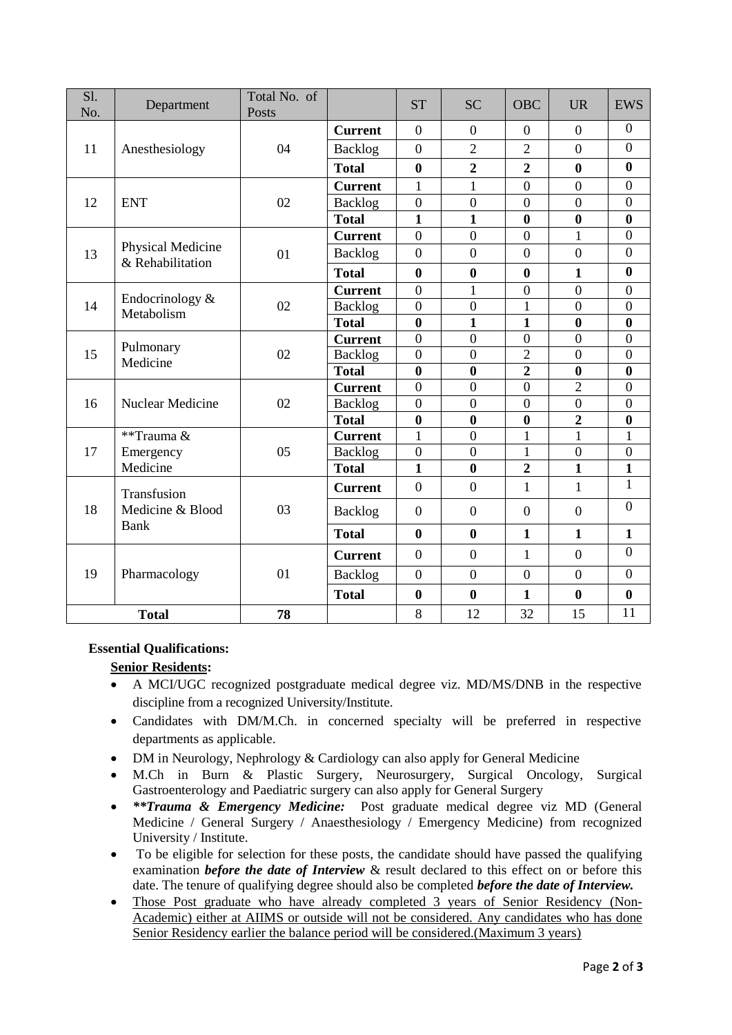| $\overline{SI}$ .<br>No. | Department                                     | Total No. of<br>Posts |                | <b>ST</b>        | <b>SC</b>        | <b>OBC</b>       | <b>UR</b>               | <b>EWS</b>              |
|--------------------------|------------------------------------------------|-----------------------|----------------|------------------|------------------|------------------|-------------------------|-------------------------|
| 11                       | Anesthesiology                                 | 04                    | <b>Current</b> | $\overline{0}$   | $\boldsymbol{0}$ | $\overline{0}$   | $\boldsymbol{0}$        | $\boldsymbol{0}$        |
|                          |                                                |                       | Backlog        | $\boldsymbol{0}$ | $\overline{2}$   | $\overline{2}$   | $\boldsymbol{0}$        | $\boldsymbol{0}$        |
|                          |                                                |                       | <b>Total</b>   | $\bf{0}$         | $\overline{2}$   | $\overline{2}$   | $\bf{0}$                | $\bf{0}$                |
| 12                       | <b>ENT</b>                                     | 02                    | <b>Current</b> | $\mathbf{1}$     | $\mathbf{1}$     | $\overline{0}$   | $\overline{0}$          | $\overline{0}$          |
|                          |                                                |                       | Backlog        | $\overline{0}$   | $\overline{0}$   | $\overline{0}$   | $\overline{0}$          | $\overline{0}$          |
|                          |                                                |                       | <b>Total</b>   | $\mathbf{1}$     | $\mathbf{1}$     | $\bf{0}$         | $\bf{0}$                | $\boldsymbol{0}$        |
| 13                       | Physical Medicine<br>& Rehabilitation          | 01                    | <b>Current</b> | $\theta$         | $\overline{0}$   | $\overline{0}$   | $\mathbf{1}$            | $\overline{0}$          |
|                          |                                                |                       | Backlog        | $\overline{0}$   | $\overline{0}$   | $\overline{0}$   | $\overline{0}$          | $\overline{0}$          |
|                          |                                                |                       | <b>Total</b>   | $\bf{0}$         | $\bf{0}$         | $\bf{0}$         | $\mathbf{1}$            | $\bf{0}$                |
|                          | Endocrinology &<br>Metabolism                  | 02                    | <b>Current</b> | $\boldsymbol{0}$ | 1                | $\boldsymbol{0}$ | $\boldsymbol{0}$        | $\boldsymbol{0}$        |
| 14                       |                                                |                       | Backlog        | $\overline{0}$   | $\overline{0}$   | $\mathbf{1}$     | $\overline{0}$          | $\boldsymbol{0}$        |
|                          |                                                |                       | <b>Total</b>   | $\bf{0}$         | $\mathbf{1}$     | $\mathbf{1}$     | $\bf{0}$                | $\bf{0}$                |
| 15                       | Pulmonary<br>Medicine                          | 02                    | <b>Current</b> | $\overline{0}$   | $\overline{0}$   | $\overline{0}$   | $\overline{0}$          | $\overline{0}$          |
|                          |                                                |                       | Backlog        | $\overline{0}$   | $\boldsymbol{0}$ | $\overline{2}$   | $\boldsymbol{0}$        | $\boldsymbol{0}$        |
|                          |                                                |                       | <b>Total</b>   | $\bf{0}$         | $\bf{0}$         | $\overline{2}$   | $\bf{0}$                | $\bf{0}$                |
|                          | Nuclear Medicine                               | 02                    | <b>Current</b> | $\overline{0}$   | $\overline{0}$   | $\overline{0}$   | $\overline{2}$          | $\boldsymbol{0}$        |
| 16                       |                                                |                       | Backlog        | $\overline{0}$   | $\overline{0}$   | $\overline{0}$   | $\overline{0}$          | $\overline{0}$          |
|                          |                                                |                       | <b>Total</b>   | $\boldsymbol{0}$ | $\bf{0}$         | $\boldsymbol{0}$ | $\overline{2}$          | $\boldsymbol{0}$        |
| 17                       | **Trauma &                                     | 05                    | <b>Current</b> | $\overline{1}$   | $\overline{0}$   | $\mathbf{1}$     | $\mathbf{1}$            | $\mathbf{1}$            |
|                          | Emergency                                      |                       | <b>Backlog</b> | $\overline{0}$   | $\overline{0}$   | $\mathbf{1}$     | $\overline{0}$          | $\boldsymbol{0}$        |
|                          | Medicine                                       |                       | <b>Total</b>   | $\mathbf{1}$     | $\bf{0}$         | $\overline{2}$   | $\overline{\mathbf{1}}$ | $\overline{\mathbf{1}}$ |
| 18                       | Transfusion<br>Medicine & Blood<br><b>Bank</b> | 03                    | <b>Current</b> | $\theta$         | $\overline{0}$   | $\mathbf{1}$     | $\mathbf{1}$            | $\mathbf{1}$            |
|                          |                                                |                       | <b>Backlog</b> | $\overline{0}$   | $\boldsymbol{0}$ | $\overline{0}$   | $\boldsymbol{0}$        | $\overline{0}$          |
|                          |                                                |                       | <b>Total</b>   | $\bf{0}$         | $\bf{0}$         | $\mathbf{1}$     | $\mathbf{1}$            | $\mathbf{1}$            |
| 19                       | Pharmacology                                   | 01                    | <b>Current</b> | $\overline{0}$   | $\boldsymbol{0}$ | $\mathbf{1}$     | $\boldsymbol{0}$        | $\boldsymbol{0}$        |
|                          |                                                |                       | Backlog        | $\overline{0}$   | $\overline{0}$   | $\overline{0}$   | $\overline{0}$          | $\boldsymbol{0}$        |
|                          |                                                |                       | <b>Total</b>   | $\bf{0}$         | $\bf{0}$         | $\mathbf{1}$     | $\boldsymbol{0}$        | $\boldsymbol{0}$        |
| <b>Total</b>             |                                                | 78                    |                | 8                | 12               | 32               | 15                      | 11                      |

#### **Essential Qualifications:**

#### **Senior Residents:**

- A MCI/UGC recognized postgraduate medical degree viz. MD/MS/DNB in the respective discipline from a recognized University/Institute.
- Candidates with DM/M.Ch. in concerned specialty will be preferred in respective departments as applicable.
- DM in Neurology, Nephrology & Cardiology can also apply for General Medicine
- M.Ch in Burn & Plastic Surgery, Neurosurgery, Surgical Oncology, Surgical Gastroenterology and Paediatric surgery can also apply for General Surgery
- *\*\*Trauma & Emergency Medicine:* Post graduate medical degree viz MD (General Medicine / General Surgery / Anaesthesiology / Emergency Medicine) from recognized University / Institute.
- To be eligible for selection for these posts, the candidate should have passed the qualifying examination *before the date of Interview* & result declared to this effect on or before this date. The tenure of qualifying degree should also be completed *before the date of Interview.*
- Those Post graduate who have already completed 3 years of Senior Residency (Non-Academic) either at AIIMS or outside will not be considered. Any candidates who has done Senior Residency earlier the balance period will be considered.(Maximum 3 years)